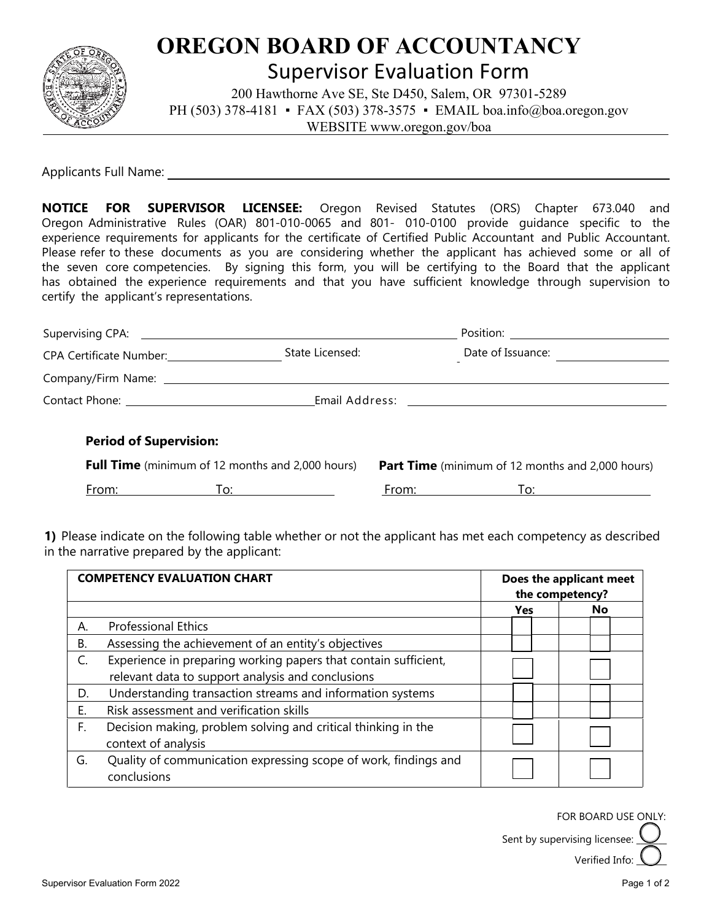

## **OREGON BOARD OF ACCOUNTANCY**

Supervisor Evaluation Form

200 Hawthorne Ave SE, Ste D450, Salem, OR 97301-5289 PH (503) 378-4181 • FAX (503) 378-3575 • EMAIL boa.info@boa.oregon.gov WEBSITE www.oregon.gov/boa

Applicants Full Name:

**NOTICE FOR SUPERVISOR LICENSEE:** Oregon Revised Statutes (ORS) Chapter 673.040 and Oregon Administrative Rules (OAR) 801-010-0065 and 801- 010-0100 provide guidance specific to the experience requirements for applicants for the certificate of Certified Public Accountant and Public Accountant. Please refer to these documents as you are considering whether the applicant has achieved some or all of the seven core competencies. By signing this form, you will be certifying to the Board that the applicant has obtained the experience requirements and that you have sufficient knowledge through supervision to certify the applicant's representations.

| CPA Certificate Number:                                 | State Licensed:   |                                                         | Date of Issuance: |  |
|---------------------------------------------------------|-------------------|---------------------------------------------------------|-------------------|--|
|                                                         |                   |                                                         |                   |  |
|                                                         |                   |                                                         |                   |  |
| <b>Period of Supervision:</b>                           |                   |                                                         |                   |  |
| <b>Full Time</b> (minimum of 12 months and 2,000 hours) |                   | <b>Part Time</b> (minimum of 12 months and 2,000 hours) |                   |  |
| From:                                                   | $\overline{1}$ 0: | From:                                                   | To: T             |  |

**1)** Please indicate on the following table whether or not the applicant has met each competency as described in the narrative prepared by the applicant:

| <b>COMPETENCY EVALUATION CHART</b> |                                                                 | Does the applicant meet<br>the competency? |           |
|------------------------------------|-----------------------------------------------------------------|--------------------------------------------|-----------|
|                                    |                                                                 | Yes                                        | <b>No</b> |
| Α.                                 | <b>Professional Ethics</b>                                      |                                            |           |
| <b>B.</b>                          | Assessing the achievement of an entity's objectives             |                                            |           |
| C.                                 | Experience in preparing working papers that contain sufficient, |                                            |           |
|                                    | relevant data to support analysis and conclusions               |                                            |           |
| D.                                 | Understanding transaction streams and information systems       |                                            |           |
| Ε.                                 | Risk assessment and verification skills                         |                                            |           |
| F.                                 | Decision making, problem solving and critical thinking in the   |                                            |           |
|                                    | context of analysis                                             |                                            |           |
| G.                                 | Quality of communication expressing scope of work, findings and |                                            |           |
|                                    | conclusions                                                     |                                            |           |

FOR BOARD USE ONLY:

Sent by supervising licensee:

Verified Info: